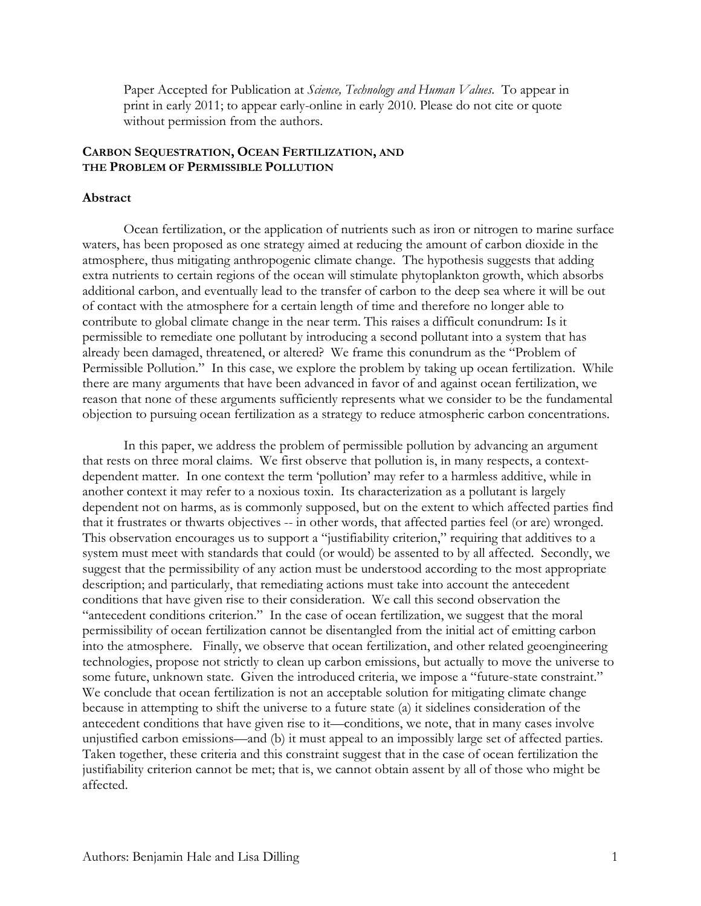Paper Accepted for Publication at *Science, Technology and Human Values*. To appear in print in early 2011; to appear early-online in early 2010. Please do not cite or quote without permission from the authors.

# **CARBON SEQUESTRATION, OCEAN FERTILIZATION, AND THE PROBLEM OF PERMISSIBLE POLLUTION**

### **Abstract**

Ocean fertilization, or the application of nutrients such as iron or nitrogen to marine surface waters, has been proposed as one strategy aimed at reducing the amount of carbon dioxide in the atmosphere, thus mitigating anthropogenic climate change. The hypothesis suggests that adding extra nutrients to certain regions of the ocean will stimulate phytoplankton growth, which absorbs additional carbon, and eventually lead to the transfer of carbon to the deep sea where it will be out of contact with the atmosphere for a certain length of time and therefore no longer able to contribute to global climate change in the near term. This raises a difficult conundrum: Is it permissible to remediate one pollutant by introducing a second pollutant into a system that has already been damaged, threatened, or altered? We frame this conundrum as the "Problem of Permissible Pollution." In this case, we explore the problem by taking up ocean fertilization. While there are many arguments that have been advanced in favor of and against ocean fertilization, we reason that none of these arguments sufficiently represents what we consider to be the fundamental objection to pursuing ocean fertilization as a strategy to reduce atmospheric carbon concentrations.

In this paper, we address the problem of permissible pollution by advancing an argument that rests on three moral claims. We first observe that pollution is, in many respects, a contextdependent matter. In one context the term 'pollution' may refer to a harmless additive, while in another context it may refer to a noxious toxin. Its characterization as a pollutant is largely dependent not on harms, as is commonly supposed, but on the extent to which affected parties find that it frustrates or thwarts objectives -- in other words, that affected parties feel (or are) wronged. This observation encourages us to support a "justifiability criterion," requiring that additives to a system must meet with standards that could (or would) be assented to by all affected. Secondly, we suggest that the permissibility of any action must be understood according to the most appropriate description; and particularly, that remediating actions must take into account the antecedent conditions that have given rise to their consideration. We call this second observation the "antecedent conditions criterion." In the case of ocean fertilization, we suggest that the moral permissibility of ocean fertilization cannot be disentangled from the initial act of emitting carbon into the atmosphere. Finally, we observe that ocean fertilization, and other related geoengineering technologies, propose not strictly to clean up carbon emissions, but actually to move the universe to some future, unknown state. Given the introduced criteria, we impose a "future-state constraint." We conclude that ocean fertilization is not an acceptable solution for mitigating climate change because in attempting to shift the universe to a future state (a) it sidelines consideration of the antecedent conditions that have given rise to it—conditions, we note, that in many cases involve unjustified carbon emissions—and (b) it must appeal to an impossibly large set of affected parties. Taken together, these criteria and this constraint suggest that in the case of ocean fertilization the justifiability criterion cannot be met; that is, we cannot obtain assent by all of those who might be affected.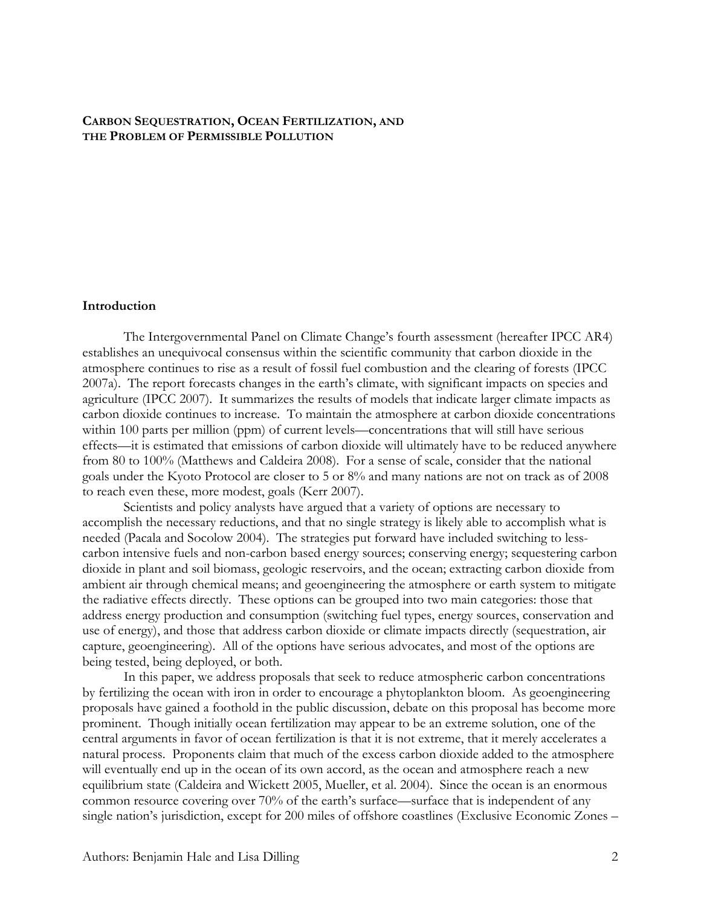# **CARBON SEQUESTRATION, OCEAN FERTILIZATION, AND THE PROBLEM OF PERMISSIBLE POLLUTION**

### **Introduction**

The Intergovernmental Panel on Climate Change's fourth assessment (hereafter IPCC AR4) establishes an unequivocal consensus within the scientific community that carbon dioxide in the atmosphere continues to rise as a result of fossil fuel combustion and the clearing of forests (IPCC 2007a). The report forecasts changes in the earth's climate, with significant impacts on species and agriculture (IPCC 2007). It summarizes the results of models that indicate larger climate impacts as carbon dioxide continues to increase. To maintain the atmosphere at carbon dioxide concentrations within 100 parts per million (ppm) of current levels—concentrations that will still have serious effects—it is estimated that emissions of carbon dioxide will ultimately have to be reduced anywhere from 80 to 100% (Matthews and Caldeira 2008). For a sense of scale, consider that the national goals under the Kyoto Protocol are closer to 5 or 8% and many nations are not on track as of 2008 to reach even these, more modest, goals (Kerr 2007).

Scientists and policy analysts have argued that a variety of options are necessary to accomplish the necessary reductions, and that no single strategy is likely able to accomplish what is needed (Pacala and Socolow 2004). The strategies put forward have included switching to lesscarbon intensive fuels and non-carbon based energy sources; conserving energy; sequestering carbon dioxide in plant and soil biomass, geologic reservoirs, and the ocean; extracting carbon dioxide from ambient air through chemical means; and geoengineering the atmosphere or earth system to mitigate the radiative effects directly. These options can be grouped into two main categories: those that address energy production and consumption (switching fuel types, energy sources, conservation and use of energy), and those that address carbon dioxide or climate impacts directly (sequestration, air capture, geoengineering). All of the options have serious advocates, and most of the options are being tested, being deployed, or both.

In this paper, we address proposals that seek to reduce atmospheric carbon concentrations by fertilizing the ocean with iron in order to encourage a phytoplankton bloom. As geoengineering proposals have gained a foothold in the public discussion, debate on this proposal has become more prominent. Though initially ocean fertilization may appear to be an extreme solution, one of the central arguments in favor of ocean fertilization is that it is not extreme, that it merely accelerates a natural process. Proponents claim that much of the excess carbon dioxide added to the atmosphere will eventually end up in the ocean of its own accord, as the ocean and atmosphere reach a new equilibrium state (Caldeira and Wickett 2005, Mueller, et al. 2004). Since the ocean is an enormous common resource covering over 70% of the earth's surface—surface that is independent of any single nation's jurisdiction, except for 200 miles of offshore coastlines (Exclusive Economic Zones –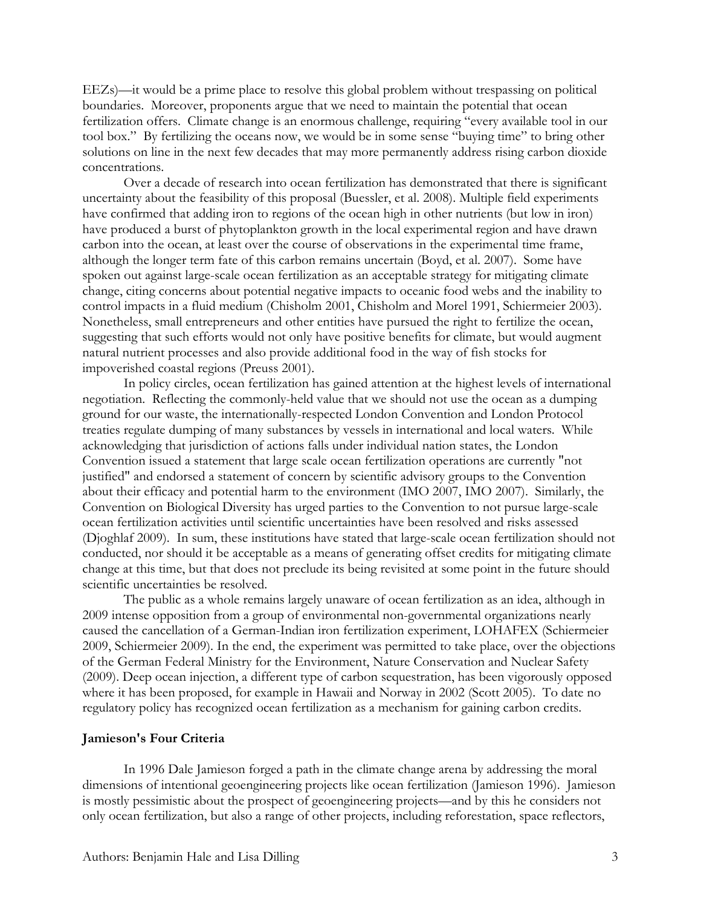EEZs)—it would be a prime place to resolve this global problem without trespassing on political boundaries. Moreover, proponents argue that we need to maintain the potential that ocean fertilization offers. Climate change is an enormous challenge, requiring "every available tool in our tool box." By fertilizing the oceans now, we would be in some sense "buying time" to bring other solutions on line in the next few decades that may more permanently address rising carbon dioxide concentrations.

Over a decade of research into ocean fertilization has demonstrated that there is significant uncertainty about the feasibility of this proposal (Buessler, et al. 2008). Multiple field experiments have confirmed that adding iron to regions of the ocean high in other nutrients (but low in iron) have produced a burst of phytoplankton growth in the local experimental region and have drawn carbon into the ocean, at least over the course of observations in the experimental time frame, although the longer term fate of this carbon remains uncertain (Boyd, et al. 2007). Some have spoken out against large-scale ocean fertilization as an acceptable strategy for mitigating climate change, citing concerns about potential negative impacts to oceanic food webs and the inability to control impacts in a fluid medium (Chisholm 2001, Chisholm and Morel 1991, Schiermeier 2003). Nonetheless, small entrepreneurs and other entities have pursued the right to fertilize the ocean, suggesting that such efforts would not only have positive benefits for climate, but would augment natural nutrient processes and also provide additional food in the way of fish stocks for impoverished coastal regions (Preuss 2001).

In policy circles, ocean fertilization has gained attention at the highest levels of international negotiation. Reflecting the commonly-held value that we should not use the ocean as a dumping ground for our waste, the internationally-respected London Convention and London Protocol treaties regulate dumping of many substances by vessels in international and local waters. While acknowledging that jurisdiction of actions falls under individual nation states, the London Convention issued a statement that large scale ocean fertilization operations are currently "not justified" and endorsed a statement of concern by scientific advisory groups to the Convention about their efficacy and potential harm to the environment (IMO 2007, IMO 2007). Similarly, the Convention on Biological Diversity has urged parties to the Convention to not pursue large-scale ocean fertilization activities until scientific uncertainties have been resolved and risks assessed (Djoghlaf 2009). In sum, these institutions have stated that large-scale ocean fertilization should not conducted, nor should it be acceptable as a means of generating offset credits for mitigating climate change at this time, but that does not preclude its being revisited at some point in the future should scientific uncertainties be resolved.

The public as a whole remains largely unaware of ocean fertilization as an idea, although in 2009 intense opposition from a group of environmental non-governmental organizations nearly caused the cancellation of a German-Indian iron fertilization experiment, LOHAFEX (Schiermeier 2009, Schiermeier 2009). In the end, the experiment was permitted to take place, over the objections of the German Federal Ministry for the Environment, Nature Conservation and Nuclear Safety (2009). Deep ocean injection, a different type of carbon sequestration, has been vigorously opposed where it has been proposed, for example in Hawaii and Norway in 2002 (Scott 2005). To date no regulatory policy has recognized ocean fertilization as a mechanism for gaining carbon credits.

# **Jamieson's Four Criteria**

In 1996 Dale Jamieson forged a path in the climate change arena by addressing the moral dimensions of intentional geoengineering projects like ocean fertilization (Jamieson 1996). Jamieson is mostly pessimistic about the prospect of geoengineering projects—and by this he considers not only ocean fertilization, but also a range of other projects, including reforestation, space reflectors,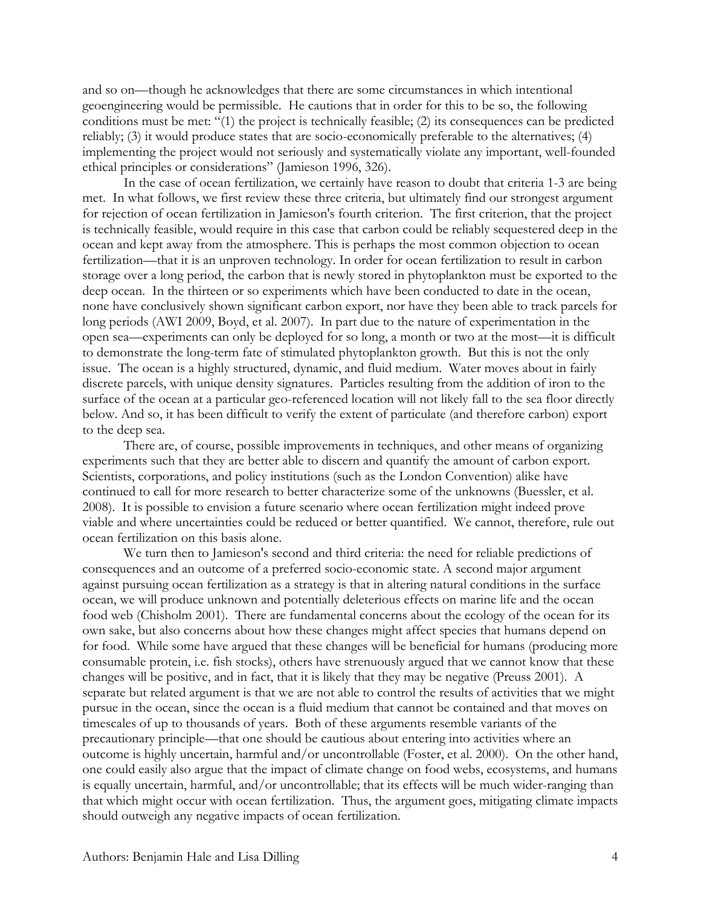and so on—though he acknowledges that there are some circumstances in which intentional geoengineering would be permissible. He cautions that in order for this to be so, the following conditions must be met: "(1) the project is technically feasible; (2) its consequences can be predicted reliably; (3) it would produce states that are socio-economically preferable to the alternatives; (4) implementing the project would not seriously and systematically violate any important, well-founded ethical principles or considerations" (Jamieson 1996, 326).

In the case of ocean fertilization, we certainly have reason to doubt that criteria 1-3 are being met. In what follows, we first review these three criteria, but ultimately find our strongest argument for rejection of ocean fertilization in Jamieson's fourth criterion. The first criterion, that the project is technically feasible, would require in this case that carbon could be reliably sequestered deep in the ocean and kept away from the atmosphere. This is perhaps the most common objection to ocean fertilization—that it is an unproven technology. In order for ocean fertilization to result in carbon storage over a long period, the carbon that is newly stored in phytoplankton must be exported to the deep ocean. In the thirteen or so experiments which have been conducted to date in the ocean, none have conclusively shown significant carbon export, nor have they been able to track parcels for long periods (AWI 2009, Boyd, et al. 2007). In part due to the nature of experimentation in the open sea—experiments can only be deployed for so long, a month or two at the most—it is difficult to demonstrate the long-term fate of stimulated phytoplankton growth. But this is not the only issue. The ocean is a highly structured, dynamic, and fluid medium. Water moves about in fairly discrete parcels, with unique density signatures. Particles resulting from the addition of iron to the surface of the ocean at a particular geo-referenced location will not likely fall to the sea floor directly below. And so, it has been difficult to verify the extent of particulate (and therefore carbon) export to the deep sea.

There are, of course, possible improvements in techniques, and other means of organizing experiments such that they are better able to discern and quantify the amount of carbon export. Scientists, corporations, and policy institutions (such as the London Convention) alike have continued to call for more research to better characterize some of the unknowns (Buessler, et al. 2008). It is possible to envision a future scenario where ocean fertilization might indeed prove viable and where uncertainties could be reduced or better quantified. We cannot, therefore, rule out ocean fertilization on this basis alone.

We turn then to Jamieson's second and third criteria: the need for reliable predictions of consequences and an outcome of a preferred socio-economic state. A second major argument against pursuing ocean fertilization as a strategy is that in altering natural conditions in the surface ocean, we will produce unknown and potentially deleterious effects on marine life and the ocean food web (Chisholm 2001). There are fundamental concerns about the ecology of the ocean for its own sake, but also concerns about how these changes might affect species that humans depend on for food. While some have argued that these changes will be beneficial for humans (producing more consumable protein, i.e. fish stocks), others have strenuously argued that we cannot know that these changes will be positive, and in fact, that it is likely that they may be negative (Preuss 2001). A separate but related argument is that we are not able to control the results of activities that we might pursue in the ocean, since the ocean is a fluid medium that cannot be contained and that moves on timescales of up to thousands of years. Both of these arguments resemble variants of the precautionary principle—that one should be cautious about entering into activities where an outcome is highly uncertain, harmful and/or uncontrollable (Foster, et al. 2000). On the other hand, one could easily also argue that the impact of climate change on food webs, ecosystems, and humans is equally uncertain, harmful, and/or uncontrollable; that its effects will be much wider-ranging than that which might occur with ocean fertilization. Thus, the argument goes, mitigating climate impacts should outweigh any negative impacts of ocean fertilization.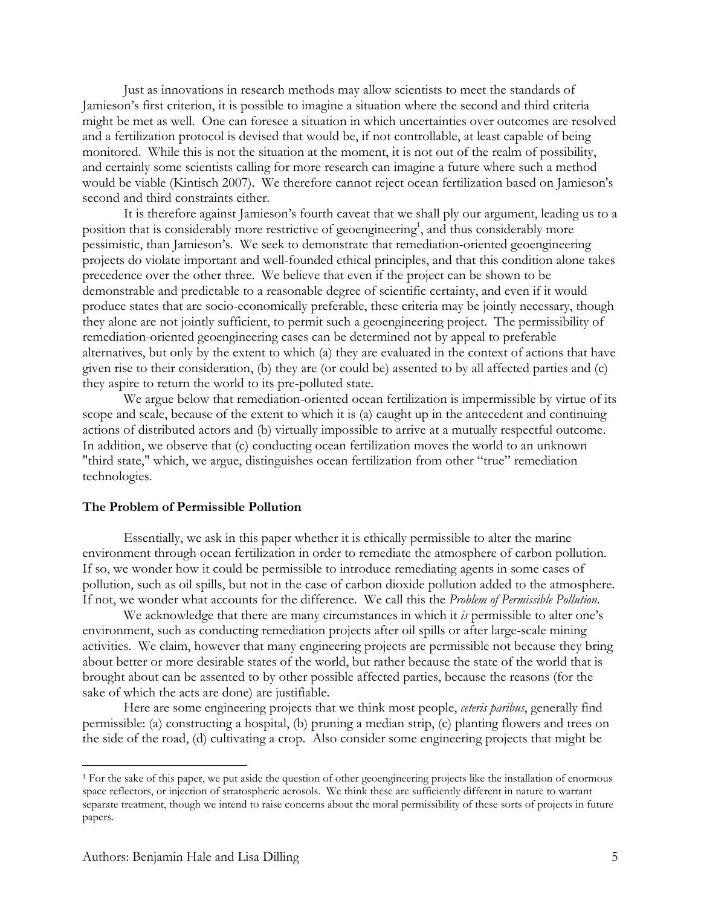Just as innovations in research methods may allow scientists to meet the standards of Jamieson's first criterion, it is possible to imagine a situation where the second and third criteria might be met as well. One can foresee a situation in which uncertainties over outcomes are resolved and a fertilization protocol is devised that would be, if not controllable, at least capable of being monitored. While this is not the situation at the moment, it is not out of the realm of possibility, and certainly some scientists calling for more research can imagine a future where such a method would be viable (Kintisch 2007). We therefore cannot reject ocean fertilization based on Jamieson's second and third constraints either.

It is therefore against Jamieson's fourth caveat that we shall ply our argument, leading us to a position that is considerably more restrictive of geoengineering<sup>1</sup>, and thus considerably more pessimistic, than Jamieson's. We seek to demonstrate that remediation-oriented geoengineering projects do violate important and well-founded ethical principles, and that this condition alone takes precedence over the other three. We believe that even if the project can be shown to be demonstrable and predictable to a reasonable degree of scientific certainty, and even if it would produce states that are socio-economically preferable, these criteria may be jointly necessary, though they alone are not jointly sufficient, to permit such a geoengineering project. The permissibility of remediation-oriented geoengineering cases can be determined not by appeal to preferable alternatives, but only by the extent to which (a) they are evaluated in the context of actions that have given rise to their consideration, (b) they are (or could be) assented to by all affected parties and (c) they aspire to return the world to its pre-polluted state.

We argue below that remediation-oriented ocean fertilization is impermissible by virtue of its scope and scale, because of the extent to which it is (a) caught up in the antecedent and continuing actions of distributed actors and (b) virtually impossible to arrive at a mutually respectful outcome. In addition, we observe that (c) conducting ocean fertilization moves the world to an unknown "third state," which, we argue, distinguishes ocean fertilization from other "true" remediation technologies.

### **The Problem of Permissible Pollution**

Essentially, we ask in this paper whether it is ethically permissible to alter the marine environment through ocean fertilization in order to remediate the atmosphere of carbon pollution. If so, we wonder how it could be permissible to introduce remediating agents in some cases of pollution, such as oil spills, but not in the case of carbon dioxide pollution added to the atmosphere. If not, we wonder what accounts for the difference. We call this the *Problem of Permissible Pollution*.

We acknowledge that there are many circumstances in which it *is* permissible to alter one's environment, such as conducting remediation projects after oil spills or after large-scale mining activities. We claim, however that many engineering projects are permissible not because they bring about better or more desirable states of the world, but rather because the state of the world that is brought about can be assented to by other possible affected parties, because the reasons (for the sake of which the acts are done) are justifiable.

Here are some engineering projects that we think most people, *ceteris paribus*, generally find permissible: (a) constructing a hospital, (b) pruning a median strip, (c) planting flowers and trees on the side of the road, (d) cultivating a crop. Also consider some engineering projects that might be

 <sup>1</sup> For the sake of this paper, we put aside the question of other geoengineering projects like the installation of enormous space reflectors, or injection of stratospheric aerosols. We think these are sufficiently different in nature to warrant separate treatment, though we intend to raise concerns about the moral permissibility of these sorts of projects in future papers.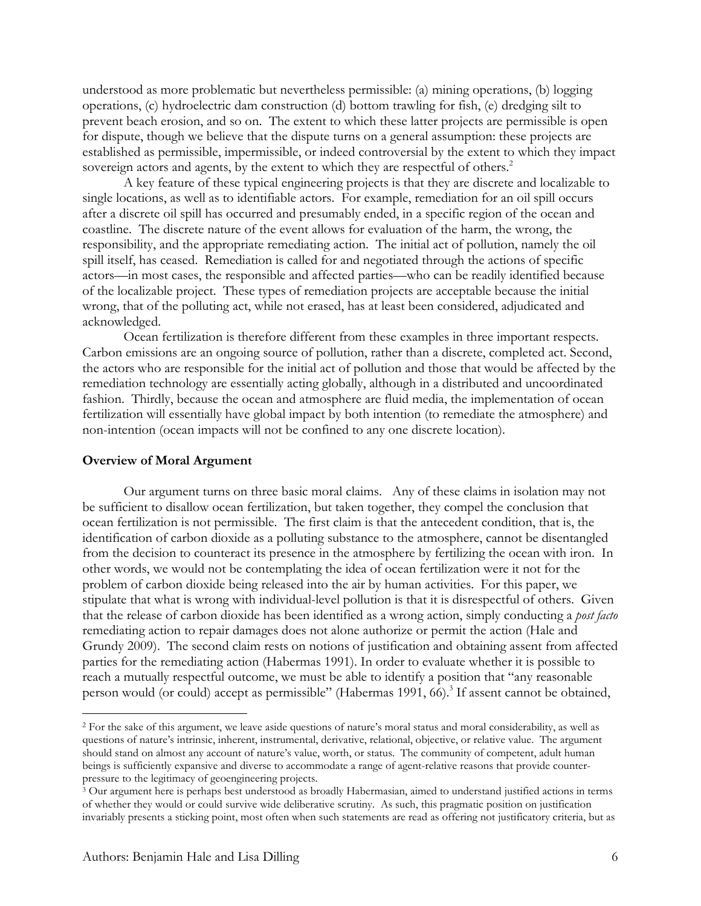understood as more problematic but nevertheless permissible: (a) mining operations, (b) logging operations, (c) hydroelectric dam construction (d) bottom trawling for fish, (e) dredging silt to prevent beach erosion, and so on. The extent to which these latter projects are permissible is open for dispute, though we believe that the dispute turns on a general assumption: these projects are established as permissible, impermissible, or indeed controversial by the extent to which they impact sovereign actors and agents, by the extent to which they are respectful of others.<sup>2</sup>

A key feature of these typical engineering projects is that they are discrete and localizable to single locations, as well as to identifiable actors. For example, remediation for an oil spill occurs after a discrete oil spill has occurred and presumably ended, in a specific region of the ocean and coastline. The discrete nature of the event allows for evaluation of the harm, the wrong, the responsibility, and the appropriate remediating action. The initial act of pollution, namely the oil spill itself, has ceased. Remediation is called for and negotiated through the actions of specific actors—in most cases, the responsible and affected parties—who can be readily identified because of the localizable project. These types of remediation projects are acceptable because the initial wrong, that of the polluting act, while not erased, has at least been considered, adjudicated and acknowledged.

Ocean fertilization is therefore different from these examples in three important respects. Carbon emissions are an ongoing source of pollution, rather than a discrete, completed act. Second, the actors who are responsible for the initial act of pollution and those that would be affected by the remediation technology are essentially acting globally, although in a distributed and uncoordinated fashion. Thirdly, because the ocean and atmosphere are fluid media, the implementation of ocean fertilization will essentially have global impact by both intention (to remediate the atmosphere) and non-intention (ocean impacts will not be confined to any one discrete location).

## **Overview of Moral Argument**

Our argument turns on three basic moral claims. Any of these claims in isolation may not be sufficient to disallow ocean fertilization, but taken together, they compel the conclusion that ocean fertilization is not permissible. The first claim is that the antecedent condition, that is, the identification of carbon dioxide as a polluting substance to the atmosphere, cannot be disentangled from the decision to counteract its presence in the atmosphere by fertilizing the ocean with iron. In other words, we would not be contemplating the idea of ocean fertilization were it not for the problem of carbon dioxide being released into the air by human activities. For this paper, we stipulate that what is wrong with individual-level pollution is that it is disrespectful of others. Given that the release of carbon dioxide has been identified as a wrong action, simply conducting a *post facto* remediating action to repair damages does not alone authorize or permit the action (Hale and Grundy 2009). The second claim rests on notions of justification and obtaining assent from affected parties for the remediating action (Habermas 1991). In order to evaluate whether it is possible to reach a mutually respectful outcome, we must be able to identify a position that "any reasonable person would (or could) accept as permissible" (Habermas 1991, 66).<sup>3</sup> If assent cannot be obtained,

 <sup>2</sup> For the sake of this argument, we leave aside questions of nature's moral status and moral considerability, as well as questions of nature's intrinsic, inherent, instrumental, derivative, relational, objective, or relative value. The argument should stand on almost any account of nature's value, worth, or status. The community of competent, adult human beings is sufficiently expansive and diverse to accommodate a range of agent-relative reasons that provide counterpressure to the legitimacy of geoengineering projects.

 $3$  Our argument here is perhaps best understood as broadly Habermasian, aimed to understand justified actions in terms of whether they would or could survive wide deliberative scrutiny. As such, this pragmatic position on justification invariably presents a sticking point, most often when such statements are read as offering not justificatory criteria, but as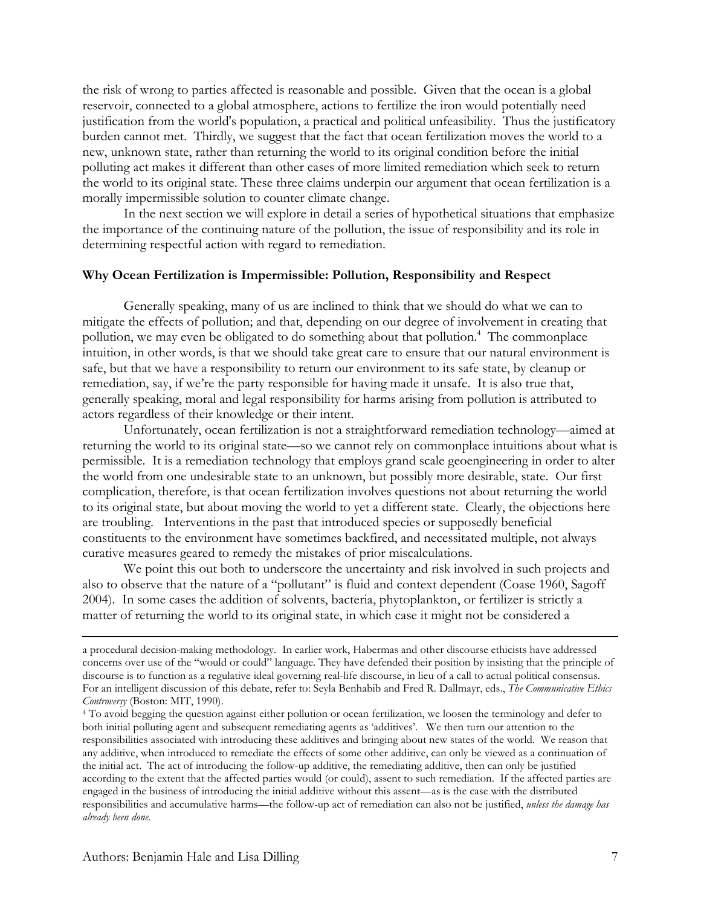the risk of wrong to parties affected is reasonable and possible. Given that the ocean is a global reservoir, connected to a global atmosphere, actions to fertilize the iron would potentially need justification from the world's population, a practical and political unfeasibility. Thus the justificatory burden cannot met. Thirdly, we suggest that the fact that ocean fertilization moves the world to a new, unknown state, rather than returning the world to its original condition before the initial polluting act makes it different than other cases of more limited remediation which seek to return the world to its original state. These three claims underpin our argument that ocean fertilization is a morally impermissible solution to counter climate change.

In the next section we will explore in detail a series of hypothetical situations that emphasize the importance of the continuing nature of the pollution, the issue of responsibility and its role in determining respectful action with regard to remediation.

### **Why Ocean Fertilization is Impermissible: Pollution, Responsibility and Respect**

Generally speaking, many of us are inclined to think that we should do what we can to mitigate the effects of pollution; and that, depending on our degree of involvement in creating that pollution, we may even be obligated to do something about that pollution.<sup>4</sup> The commonplace intuition, in other words, is that we should take great care to ensure that our natural environment is safe, but that we have a responsibility to return our environment to its safe state, by cleanup or remediation, say, if we're the party responsible for having made it unsafe. It is also true that, generally speaking, moral and legal responsibility for harms arising from pollution is attributed to actors regardless of their knowledge or their intent.

Unfortunately, ocean fertilization is not a straightforward remediation technology—aimed at returning the world to its original state—so we cannot rely on commonplace intuitions about what is permissible. It is a remediation technology that employs grand scale geoengineering in order to alter the world from one undesirable state to an unknown, but possibly more desirable, state. Our first complication, therefore, is that ocean fertilization involves questions not about returning the world to its original state, but about moving the world to yet a different state. Clearly, the objections here are troubling. Interventions in the past that introduced species or supposedly beneficial constituents to the environment have sometimes backfired, and necessitated multiple, not always curative measures geared to remedy the mistakes of prior miscalculations.

We point this out both to underscore the uncertainty and risk involved in such projects and also to observe that the nature of a "pollutant" is fluid and context dependent (Coase 1960, Sagoff 2004). In some cases the addition of solvents, bacteria, phytoplankton, or fertilizer is strictly a matter of returning the world to its original state, in which case it might not be considered a

a procedural decision-making methodology. In earlier work, Habermas and other discourse ethicists have addressed concerns over use of the "would or could" language. They have defended their position by insisting that the principle of discourse is to function as a regulative ideal governing real-life discourse, in lieu of a call to actual political consensus. For an intelligent discussion of this debate, refer to: Seyla Benhabib and Fred R. Dallmayr, eds., *The Communicative Ethics Controversy* (Boston: MIT, 1990). 4 To avoid begging the question against either pollution or ocean fertilization, we loosen the terminology and defer to

both initial polluting agent and subsequent remediating agents as 'additives'. We then turn our attention to the responsibilities associated with introducing these additives and bringing about new states of the world. We reason that any additive, when introduced to remediate the effects of some other additive, can only be viewed as a continuation of the initial act. The act of introducing the follow-up additive, the remediating additive, then can only be justified according to the extent that the affected parties would (or could), assent to such remediation. If the affected parties are engaged in the business of introducing the initial additive without this assent—as is the case with the distributed responsibilities and accumulative harms—the follow-up act of remediation can also not be justified, *unless the damage has already been done*.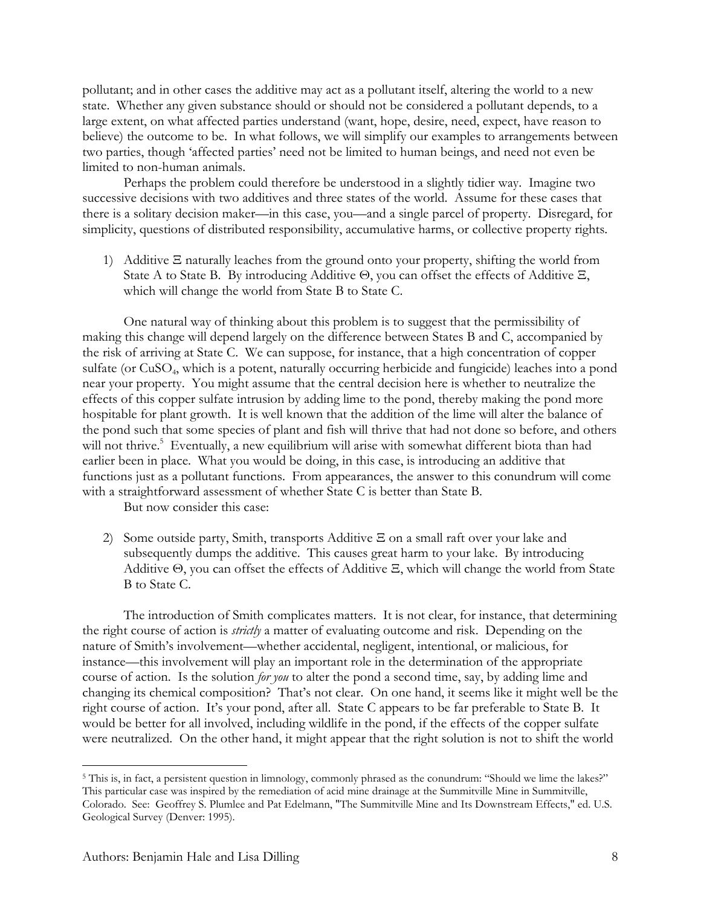pollutant; and in other cases the additive may act as a pollutant itself, altering the world to a new state. Whether any given substance should or should not be considered a pollutant depends, to a large extent, on what affected parties understand (want, hope, desire, need, expect, have reason to believe) the outcome to be. In what follows, we will simplify our examples to arrangements between two parties, though 'affected parties' need not be limited to human beings, and need not even be limited to non-human animals.

Perhaps the problem could therefore be understood in a slightly tidier way. Imagine two successive decisions with two additives and three states of the world. Assume for these cases that there is a solitary decision maker—in this case, you—and a single parcel of property. Disregard, for simplicity, questions of distributed responsibility, accumulative harms, or collective property rights.

1) Additive Ξ naturally leaches from the ground onto your property, shifting the world from State A to State B. By introducing Additive Θ, you can offset the effects of Additive Ξ, which will change the world from State B to State C.

One natural way of thinking about this problem is to suggest that the permissibility of making this change will depend largely on the difference between States B and C, accompanied by the risk of arriving at State C. We can suppose, for instance, that a high concentration of copper sulfate (or CuSO<sub>4</sub>, which is a potent, naturally occurring herbicide and fungicide) leaches into a pond near your property. You might assume that the central decision here is whether to neutralize the effects of this copper sulfate intrusion by adding lime to the pond, thereby making the pond more hospitable for plant growth. It is well known that the addition of the lime will alter the balance of the pond such that some species of plant and fish will thrive that had not done so before, and others will not thrive.<sup>5</sup> Eventually, a new equilibrium will arise with somewhat different biota than had earlier been in place. What you would be doing, in this case, is introducing an additive that functions just as a pollutant functions. From appearances, the answer to this conundrum will come with a straightforward assessment of whether State C is better than State B.

But now consider this case:

2) Some outside party, Smith, transports Additive Ξ on a small raft over your lake and subsequently dumps the additive. This causes great harm to your lake. By introducing Additive Θ, you can offset the effects of Additive Ξ, which will change the world from State B to State C.

The introduction of Smith complicates matters. It is not clear, for instance, that determining the right course of action is *strictly* a matter of evaluating outcome and risk. Depending on the nature of Smith's involvement—whether accidental, negligent, intentional, or malicious, for instance—this involvement will play an important role in the determination of the appropriate course of action. Is the solution *for you* to alter the pond a second time, say, by adding lime and changing its chemical composition? That's not clear. On one hand, it seems like it might well be the right course of action. It's your pond, after all. State C appears to be far preferable to State B. It would be better for all involved, including wildlife in the pond, if the effects of the copper sulfate were neutralized. On the other hand, it might appear that the right solution is not to shift the world

<sup>&</sup>lt;sup>5</sup> This is, in fact, a persistent question in limnology, commonly phrased as the conundrum: "Should we lime the lakes?" This particular case was inspired by the remediation of acid mine drainage at the Summitville Mine in Summitville, Colorado. See: Geoffrey S. Plumlee and Pat Edelmann, "The Summitville Mine and Its Downstream Effects," ed. U.S. Geological Survey (Denver: 1995).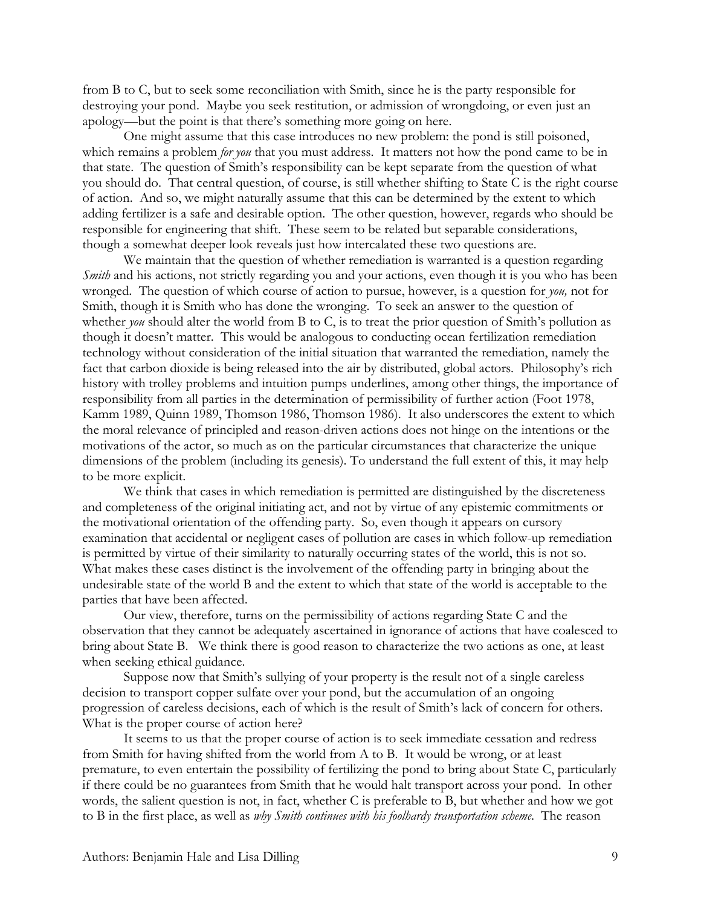from B to C, but to seek some reconciliation with Smith, since he is the party responsible for destroying your pond. Maybe you seek restitution, or admission of wrongdoing, or even just an apology—but the point is that there's something more going on here.

One might assume that this case introduces no new problem: the pond is still poisoned, which remains a problem *for you* that you must address. It matters not how the pond came to be in that state. The question of Smith's responsibility can be kept separate from the question of what you should do. That central question, of course, is still whether shifting to State C is the right course of action. And so, we might naturally assume that this can be determined by the extent to which adding fertilizer is a safe and desirable option. The other question, however, regards who should be responsible for engineering that shift. These seem to be related but separable considerations, though a somewhat deeper look reveals just how intercalated these two questions are.

We maintain that the question of whether remediation is warranted is a question regarding *Smith* and his actions, not strictly regarding you and your actions, even though it is you who has been wronged. The question of which course of action to pursue, however, is a question for *you,* not for Smith, though it is Smith who has done the wronging. To seek an answer to the question of whether *you* should alter the world from B to C, is to treat the prior question of Smith's pollution as though it doesn't matter. This would be analogous to conducting ocean fertilization remediation technology without consideration of the initial situation that warranted the remediation, namely the fact that carbon dioxide is being released into the air by distributed, global actors. Philosophy's rich history with trolley problems and intuition pumps underlines, among other things, the importance of responsibility from all parties in the determination of permissibility of further action (Foot 1978, Kamm 1989, Quinn 1989, Thomson 1986, Thomson 1986). It also underscores the extent to which the moral relevance of principled and reason-driven actions does not hinge on the intentions or the motivations of the actor, so much as on the particular circumstances that characterize the unique dimensions of the problem (including its genesis). To understand the full extent of this, it may help to be more explicit.

We think that cases in which remediation is permitted are distinguished by the discreteness and completeness of the original initiating act, and not by virtue of any epistemic commitments or the motivational orientation of the offending party. So, even though it appears on cursory examination that accidental or negligent cases of pollution are cases in which follow-up remediation is permitted by virtue of their similarity to naturally occurring states of the world, this is not so. What makes these cases distinct is the involvement of the offending party in bringing about the undesirable state of the world B and the extent to which that state of the world is acceptable to the parties that have been affected.

Our view, therefore, turns on the permissibility of actions regarding State C and the observation that they cannot be adequately ascertained in ignorance of actions that have coalesced to bring about State B. We think there is good reason to characterize the two actions as one, at least when seeking ethical guidance.

Suppose now that Smith's sullying of your property is the result not of a single careless decision to transport copper sulfate over your pond, but the accumulation of an ongoing progression of careless decisions, each of which is the result of Smith's lack of concern for others. What is the proper course of action here?

It seems to us that the proper course of action is to seek immediate cessation and redress from Smith for having shifted from the world from A to B. It would be wrong, or at least premature, to even entertain the possibility of fertilizing the pond to bring about State C, particularly if there could be no guarantees from Smith that he would halt transport across your pond. In other words, the salient question is not, in fact, whether C is preferable to B, but whether and how we got to B in the first place, as well as *why Smith continues with his foolhardy transportation scheme*. The reason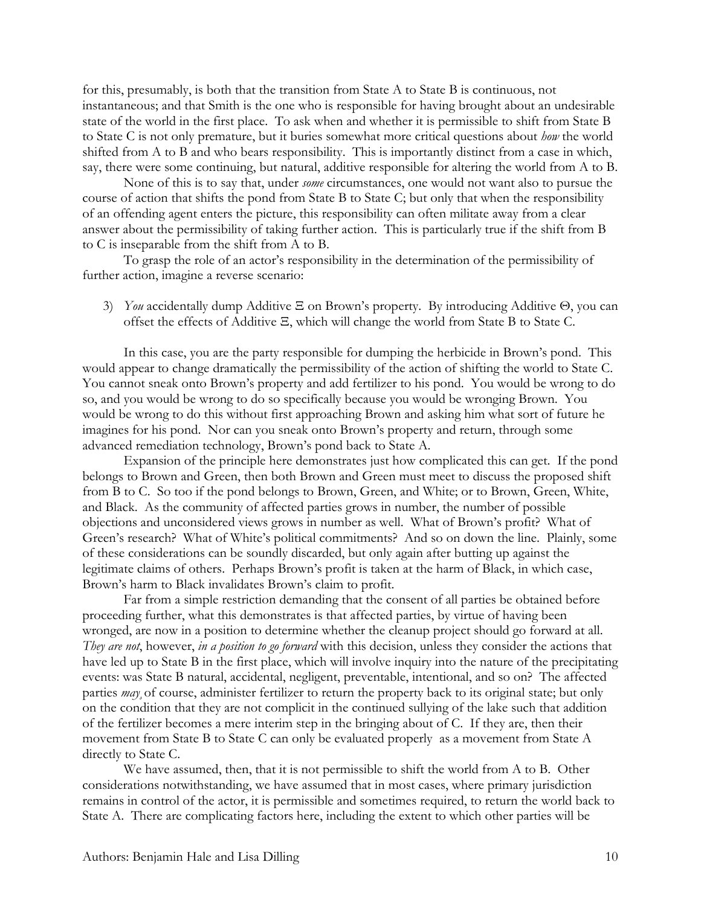for this, presumably, is both that the transition from State A to State B is continuous, not instantaneous; and that Smith is the one who is responsible for having brought about an undesirable state of the world in the first place. To ask when and whether it is permissible to shift from State B to State C is not only premature, but it buries somewhat more critical questions about *how* the world shifted from A to B and who bears responsibility. This is importantly distinct from a case in which, say, there were some continuing, but natural, additive responsible for altering the world from A to B.

None of this is to say that, under *some* circumstances, one would not want also to pursue the course of action that shifts the pond from State B to State C; but only that when the responsibility of an offending agent enters the picture, this responsibility can often militate away from a clear answer about the permissibility of taking further action. This is particularly true if the shift from B to C is inseparable from the shift from A to B.

To grasp the role of an actor's responsibility in the determination of the permissibility of further action, imagine a reverse scenario:

3) *You* accidentally dump Additive Ξ on Brown's property. By introducing Additive Θ, you can offset the effects of Additive Ξ, which will change the world from State B to State C.

In this case, you are the party responsible for dumping the herbicide in Brown's pond. This would appear to change dramatically the permissibility of the action of shifting the world to State C. You cannot sneak onto Brown's property and add fertilizer to his pond. You would be wrong to do so, and you would be wrong to do so specifically because you would be wronging Brown. You would be wrong to do this without first approaching Brown and asking him what sort of future he imagines for his pond. Nor can you sneak onto Brown's property and return, through some advanced remediation technology, Brown's pond back to State A.

Expansion of the principle here demonstrates just how complicated this can get. If the pond belongs to Brown and Green, then both Brown and Green must meet to discuss the proposed shift from B to C. So too if the pond belongs to Brown, Green, and White; or to Brown, Green, White, and Black. As the community of affected parties grows in number, the number of possible objections and unconsidered views grows in number as well. What of Brown's profit? What of Green's research? What of White's political commitments? And so on down the line. Plainly, some of these considerations can be soundly discarded, but only again after butting up against the legitimate claims of others. Perhaps Brown's profit is taken at the harm of Black, in which case, Brown's harm to Black invalidates Brown's claim to profit.

Far from a simple restriction demanding that the consent of all parties be obtained before proceeding further, what this demonstrates is that affected parties, by virtue of having been wronged, are now in a position to determine whether the cleanup project should go forward at all. *They are not*, however, *in a position to go forward* with this decision, unless they consider the actions that have led up to State B in the first place, which will involve inquiry into the nature of the precipitating events: was State B natural, accidental, negligent, preventable, intentional, and so on? The affected parties *may*¸of course, administer fertilizer to return the property back to its original state; but only on the condition that they are not complicit in the continued sullying of the lake such that addition of the fertilizer becomes a mere interim step in the bringing about of C. If they are, then their movement from State B to State C can only be evaluated properly as a movement from State A directly to State C.

We have assumed, then, that it is not permissible to shift the world from A to B. Other considerations notwithstanding, we have assumed that in most cases, where primary jurisdiction remains in control of the actor, it is permissible and sometimes required, to return the world back to State A. There are complicating factors here, including the extent to which other parties will be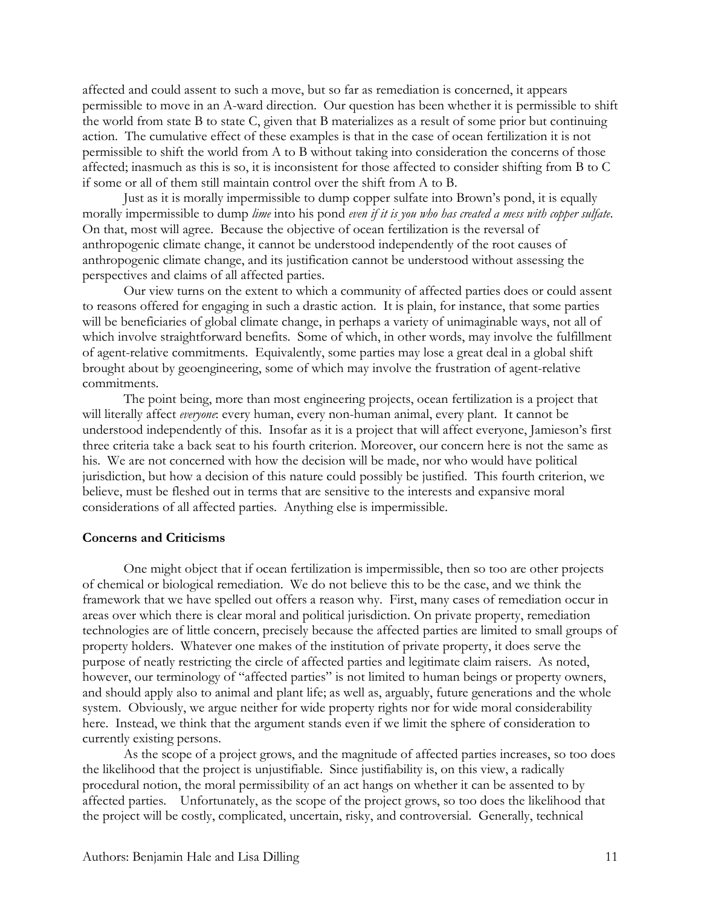affected and could assent to such a move, but so far as remediation is concerned, it appears permissible to move in an A-ward direction. Our question has been whether it is permissible to shift the world from state B to state C, given that B materializes as a result of some prior but continuing action. The cumulative effect of these examples is that in the case of ocean fertilization it is not permissible to shift the world from A to B without taking into consideration the concerns of those affected; inasmuch as this is so, it is inconsistent for those affected to consider shifting from B to C if some or all of them still maintain control over the shift from A to B.

Just as it is morally impermissible to dump copper sulfate into Brown's pond, it is equally morally impermissible to dump *lime* into his pond *even if it is you who has created a mess with copper sulfate*. On that, most will agree. Because the objective of ocean fertilization is the reversal of anthropogenic climate change, it cannot be understood independently of the root causes of anthropogenic climate change, and its justification cannot be understood without assessing the perspectives and claims of all affected parties.

Our view turns on the extent to which a community of affected parties does or could assent to reasons offered for engaging in such a drastic action. It is plain, for instance, that some parties will be beneficiaries of global climate change, in perhaps a variety of unimaginable ways, not all of which involve straightforward benefits. Some of which, in other words, may involve the fulfillment of agent-relative commitments. Equivalently, some parties may lose a great deal in a global shift brought about by geoengineering, some of which may involve the frustration of agent-relative commitments.

The point being, more than most engineering projects, ocean fertilization is a project that will literally affect *everyone*: every human, every non-human animal, every plant. It cannot be understood independently of this. Insofar as it is a project that will affect everyone, Jamieson's first three criteria take a back seat to his fourth criterion. Moreover, our concern here is not the same as his. We are not concerned with how the decision will be made, nor who would have political jurisdiction, but how a decision of this nature could possibly be justified. This fourth criterion, we believe, must be fleshed out in terms that are sensitive to the interests and expansive moral considerations of all affected parties. Anything else is impermissible.

## **Concerns and Criticisms**

One might object that if ocean fertilization is impermissible, then so too are other projects of chemical or biological remediation. We do not believe this to be the case, and we think the framework that we have spelled out offers a reason why. First, many cases of remediation occur in areas over which there is clear moral and political jurisdiction. On private property, remediation technologies are of little concern, precisely because the affected parties are limited to small groups of property holders. Whatever one makes of the institution of private property, it does serve the purpose of neatly restricting the circle of affected parties and legitimate claim raisers. As noted, however, our terminology of "affected parties" is not limited to human beings or property owners, and should apply also to animal and plant life; as well as, arguably, future generations and the whole system. Obviously, we argue neither for wide property rights nor for wide moral considerability here. Instead, we think that the argument stands even if we limit the sphere of consideration to currently existing persons.

As the scope of a project grows, and the magnitude of affected parties increases, so too does the likelihood that the project is unjustifiable. Since justifiability is, on this view, a radically procedural notion, the moral permissibility of an act hangs on whether it can be assented to by affected parties. Unfortunately, as the scope of the project grows, so too does the likelihood that the project will be costly, complicated, uncertain, risky, and controversial. Generally, technical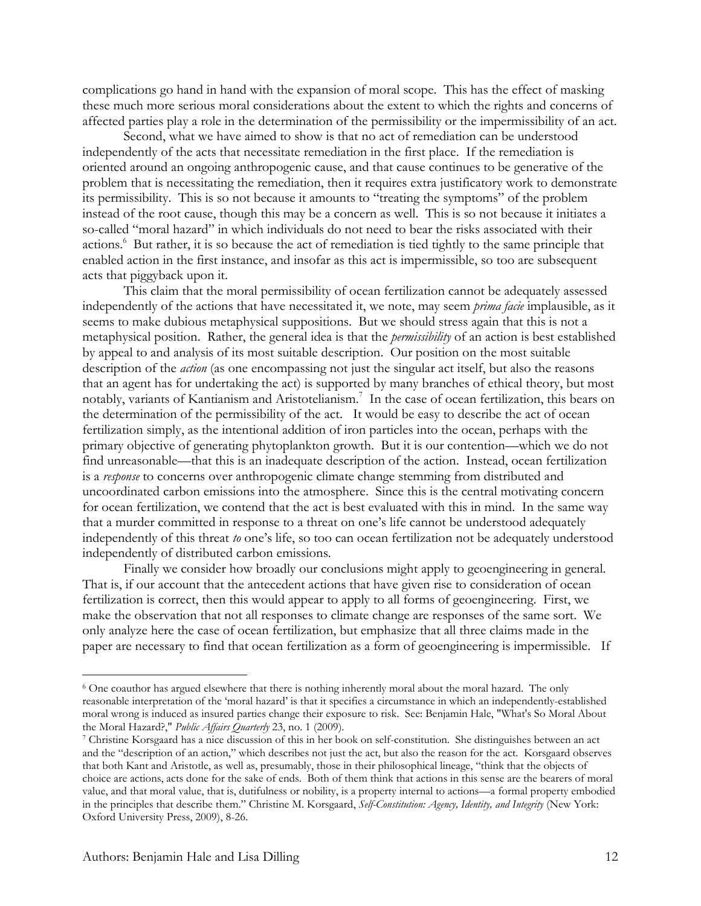complications go hand in hand with the expansion of moral scope. This has the effect of masking these much more serious moral considerations about the extent to which the rights and concerns of affected parties play a role in the determination of the permissibility or the impermissibility of an act.

Second, what we have aimed to show is that no act of remediation can be understood independently of the acts that necessitate remediation in the first place. If the remediation is oriented around an ongoing anthropogenic cause, and that cause continues to be generative of the problem that is necessitating the remediation, then it requires extra justificatory work to demonstrate its permissibility. This is so not because it amounts to "treating the symptoms" of the problem instead of the root cause, though this may be a concern as well. This is so not because it initiates a so-called "moral hazard" in which individuals do not need to bear the risks associated with their actions.<sup>6</sup> But rather, it is so because the act of remediation is tied tightly to the same principle that enabled action in the first instance, and insofar as this act is impermissible, so too are subsequent acts that piggyback upon it.

This claim that the moral permissibility of ocean fertilization cannot be adequately assessed independently of the actions that have necessitated it, we note, may seem *prima facie* implausible, as it seems to make dubious metaphysical suppositions. But we should stress again that this is not a metaphysical position. Rather, the general idea is that the *permissibility* of an action is best established by appeal to and analysis of its most suitable description. Our position on the most suitable description of the *action* (as one encompassing not just the singular act itself, but also the reasons that an agent has for undertaking the act) is supported by many branches of ethical theory, but most notably, variants of Kantianism and Aristotelianism.7 In the case of ocean fertilization, this bears on the determination of the permissibility of the act. It would be easy to describe the act of ocean fertilization simply, as the intentional addition of iron particles into the ocean, perhaps with the primary objective of generating phytoplankton growth. But it is our contention—which we do not find unreasonable—that this is an inadequate description of the action. Instead, ocean fertilization is a *response* to concerns over anthropogenic climate change stemming from distributed and uncoordinated carbon emissions into the atmosphere. Since this is the central motivating concern for ocean fertilization, we contend that the act is best evaluated with this in mind. In the same way that a murder committed in response to a threat on one's life cannot be understood adequately independently of this threat *to* one's life, so too can ocean fertilization not be adequately understood independently of distributed carbon emissions.

Finally we consider how broadly our conclusions might apply to geoengineering in general. That is, if our account that the antecedent actions that have given rise to consideration of ocean fertilization is correct, then this would appear to apply to all forms of geoengineering. First, we make the observation that not all responses to climate change are responses of the same sort. We only analyze here the case of ocean fertilization, but emphasize that all three claims made in the paper are necessary to find that ocean fertilization as a form of geoengineering is impermissible. If

 <sup>6</sup> One coauthor has argued elsewhere that there is nothing inherently moral about the moral hazard. The only reasonable interpretation of the 'moral hazard' is that it specifies a circumstance in which an independently-established moral wrong is induced as insured parties change their exposure to risk. See: Benjamin Hale, "What's So Moral About<br>the Moral Hazard?," Public Affairs Quarterly 23, no. 1 (2009).

<sup>&</sup>lt;sup>7</sup> Christine Korsgaard has a nice discussion of this in her book on self-constitution. She distinguishes between an act and the "description of an action," which describes not just the act, but also the reason for the act. Korsgaard observes that both Kant and Aristotle, as well as, presumably, those in their philosophical lineage, "think that the objects of choice are actions, acts done for the sake of ends. Both of them think that actions in this sense are the bearers of moral value, and that moral value, that is, dutifulness or nobility, is a property internal to actions—a formal property embodied in the principles that describe them." Christine M. Korsgaard, *Self-Constitution: Agency, Identity, and Integrity* (New York: Oxford University Press, 2009), 8-26.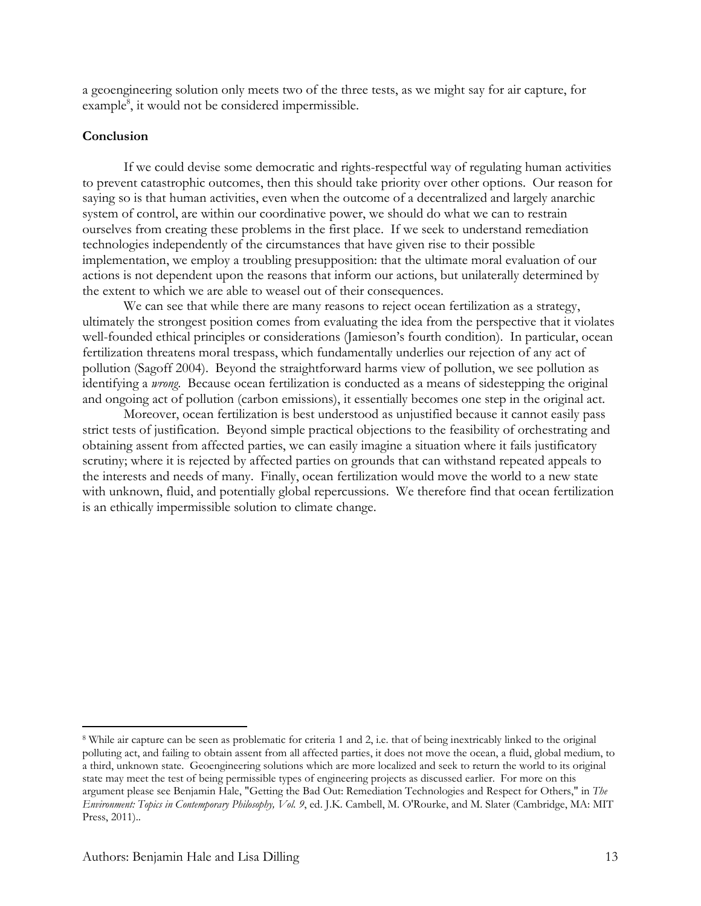a geoengineering solution only meets two of the three tests, as we might say for air capture, for example<sup>8</sup>, it would not be considered impermissible.

# **Conclusion**

If we could devise some democratic and rights-respectful way of regulating human activities to prevent catastrophic outcomes, then this should take priority over other options. Our reason for saying so is that human activities, even when the outcome of a decentralized and largely anarchic system of control, are within our coordinative power, we should do what we can to restrain ourselves from creating these problems in the first place. If we seek to understand remediation technologies independently of the circumstances that have given rise to their possible implementation, we employ a troubling presupposition: that the ultimate moral evaluation of our actions is not dependent upon the reasons that inform our actions, but unilaterally determined by the extent to which we are able to weasel out of their consequences.

We can see that while there are many reasons to reject ocean fertilization as a strategy, ultimately the strongest position comes from evaluating the idea from the perspective that it violates well-founded ethical principles or considerations (Jamieson's fourth condition). In particular, ocean fertilization threatens moral trespass, which fundamentally underlies our rejection of any act of pollution (Sagoff 2004). Beyond the straightforward harms view of pollution, we see pollution as identifying a *wrong*. Because ocean fertilization is conducted as a means of sidestepping the original and ongoing act of pollution (carbon emissions), it essentially becomes one step in the original act.

Moreover, ocean fertilization is best understood as unjustified because it cannot easily pass strict tests of justification. Beyond simple practical objections to the feasibility of orchestrating and obtaining assent from affected parties, we can easily imagine a situation where it fails justificatory scrutiny; where it is rejected by affected parties on grounds that can withstand repeated appeals to the interests and needs of many. Finally, ocean fertilization would move the world to a new state with unknown, fluid, and potentially global repercussions. We therefore find that ocean fertilization is an ethically impermissible solution to climate change.

 <sup>8</sup> While air capture can be seen as problematic for criteria 1 and 2, i.e. that of being inextricably linked to the original polluting act, and failing to obtain assent from all affected parties, it does not move the ocean, a fluid, global medium, to a third, unknown state. Geoengineering solutions which are more localized and seek to return the world to its original state may meet the test of being permissible types of engineering projects as discussed earlier. For more on this argument please see Benjamin Hale, "Getting the Bad Out: Remediation Technologies and Respect for Others," in *The Environment: Topics in Contemporary Philosophy, Vol. 9*, ed. J.K. Cambell, M. O'Rourke, and M. Slater (Cambridge, MA: MIT Press, 2011)..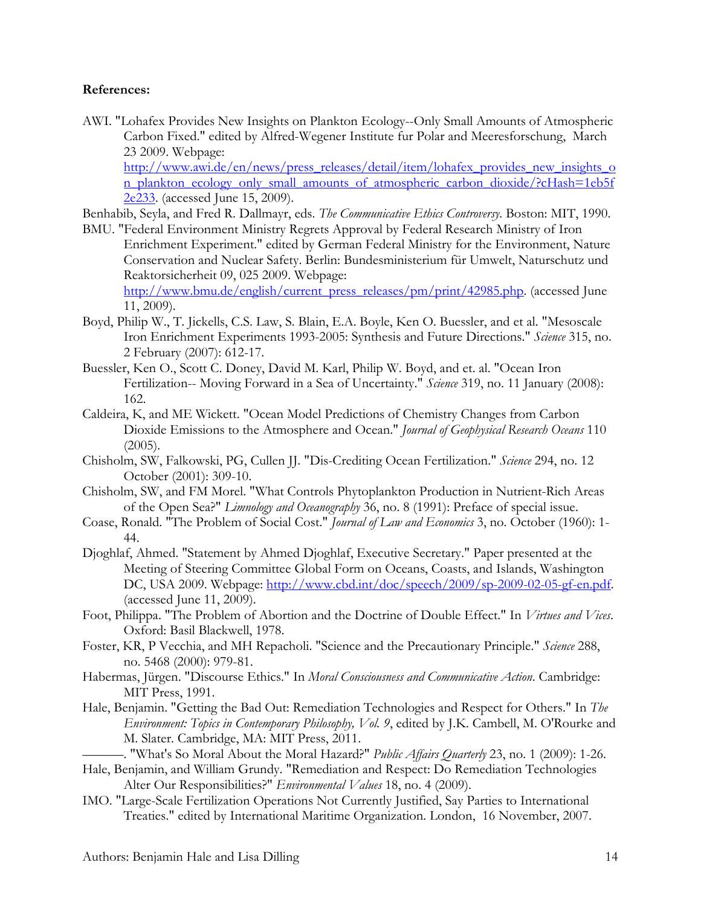# **References:**

AWI. "Lohafex Provides New Insights on Plankton Ecology--Only Small Amounts of Atmospheric Carbon Fixed." edited by Alfred-Wegener Institute fur Polar and Meeresforschung, March 23 2009. Webpage:

[http://www.awi.de/en/news/press\\_releases/detail/item/lohafex\\_provides\\_new\\_insights\\_o](http://www.awi.de/en/news/press_releases/detail/item/lohafex_provides_new_insights_on_plankton_ecology_only_small_amounts_of_atmospheric_carbon_dioxide/?cHash=1eb5f2e233) [n\\_plankton\\_ecology\\_only\\_small\\_amounts\\_of\\_atmospheric\\_carbon\\_dioxide/?cHash=1eb5f](http://www.awi.de/en/news/press_releases/detail/item/lohafex_provides_new_insights_on_plankton_ecology_only_small_amounts_of_atmospheric_carbon_dioxide/?cHash=1eb5f2e233) [2e233.](http://www.awi.de/en/news/press_releases/detail/item/lohafex_provides_new_insights_on_plankton_ecology_only_small_amounts_of_atmospheric_carbon_dioxide/?cHash=1eb5f2e233) (accessed June 15, 2009).

Benhabib, Seyla, and Fred R. Dallmayr, eds. *The Communicative Ethics Controversy*. Boston: MIT, 1990.

- BMU. "Federal Environment Ministry Regrets Approval by Federal Research Ministry of Iron Enrichment Experiment." edited by German Federal Ministry for the Environment, Nature Conservation and Nuclear Safety. Berlin: Bundesministerium für Umwelt, Naturschutz und Reaktorsicherheit 09, 025 2009. Webpage: [http://www.bmu.de/english/current\\_press\\_releases/pm/print/42985.php.](http://www.bmu.de/english/current_press_releases/pm/print/42985.php) (accessed June 11, 2009).
- Boyd, Philip W., T. Jickells, C.S. Law, S. Blain, E.A. Boyle, Ken O. Buessler, and et al. "Mesoscale Iron Enrichment Experiments 1993-2005: Synthesis and Future Directions." *Science* 315, no. 2 February (2007): 612-17.
- Buessler, Ken O., Scott C. Doney, David M. Karl, Philip W. Boyd, and et. al. "Ocean Iron Fertilization-- Moving Forward in a Sea of Uncertainty." *Science* 319, no. 11 January (2008): 162.
- Caldeira, K, and ME Wickett. "Ocean Model Predictions of Chemistry Changes from Carbon Dioxide Emissions to the Atmosphere and Ocean." *Journal of Geophysical Research Oceans* 110  $(2005).$
- Chisholm, SW, Falkowski, PG, Cullen JJ. "Dis-Crediting Ocean Fertilization." *Science* 294, no. 12 October (2001): 309-10.
- Chisholm, SW, and FM Morel. "What Controls Phytoplankton Production in Nutrient-Rich Areas of the Open Sea?" *Limnology and Oceanography* 36, no. 8 (1991): Preface of special issue.
- Coase, Ronald. "The Problem of Social Cost." *Journal of Law and Economics* 3, no. October (1960): 1- 44.
- Djoghlaf, Ahmed. "Statement by Ahmed Djoghlaf, Executive Secretary." Paper presented at the Meeting of Steering Committee Global Form on Oceans, Coasts, and Islands, Washington DC, USA 2009. Webpage: [http://www.cbd.int/doc/speech/2009/sp-2009-02-05-gf-en.pdf.](http://www.cbd.int/doc/speech/2009/sp-2009-02-05-gf-en.pdf) (accessed June 11, 2009).
- Foot, Philippa. "The Problem of Abortion and the Doctrine of Double Effect." In *Virtues and Vices*. Oxford: Basil Blackwell, 1978.
- Foster, KR, P Vecchia, and MH Repacholi. "Science and the Precautionary Principle." *Science* 288, no. 5468 (2000): 979-81.
- Habermas, Jürgen. "Discourse Ethics." In *Moral Consciousness and Communicative Action*. Cambridge: MIT Press, 1991.
- Hale, Benjamin. "Getting the Bad Out: Remediation Technologies and Respect for Others." In *The Environment: Topics in Contemporary Philosophy, Vol. 9*, edited by J.K. Cambell, M. O'Rourke and M. Slater. Cambridge, MA: MIT Press, 2011.

———. "What's So Moral About the Moral Hazard?" *Public Affairs Quarterly* 23, no. 1 (2009): 1-26.

- Hale, Benjamin, and William Grundy. "Remediation and Respect: Do Remediation Technologies Alter Our Responsibilities?" *Environmental Values* 18, no. 4 (2009).
- IMO. "Large-Scale Fertilization Operations Not Currently Justified, Say Parties to International Treaties." edited by International Maritime Organization. London, 16 November, 2007.